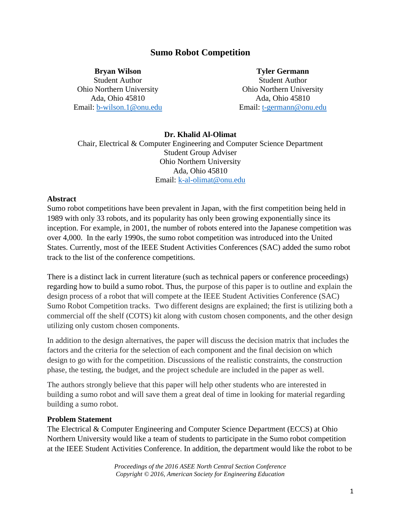# **Sumo Robot Competition**

**Bryan Wilson**

Student Author Ohio Northern University Ada, Ohio 45810 Email: [b-wilson.1@onu.edu](mailto:b-wilson.1@onu.edu) **Tyler Germann**

Student Author Ohio Northern University Ada, Ohio 45810 Email: [t-germann@onu.edu](mailto:t-germann@onu.edu)

## **Dr. Khalid Al-Olimat**

Chair, Electrical & Computer Engineering and Computer Science Department Student Group Adviser Ohio Northern University Ada, Ohio 45810 Email: [k-al-olimat@onu.edu](mailto:k-al-olimat@onu.edu)

#### **Abstract**

Sumo robot competitions have been prevalent in Japan, with the first competition being held in 1989 with only 33 robots, and its popularity has only been growing exponentially since its inception. For example, in 2001, the number of robots entered into the Japanese competition was over 4,000. In the early 1990s, the sumo robot competition was introduced into the United States. Currently, most of the IEEE Student Activities Conferences (SAC) added the sumo robot track to the list of the conference competitions.

There is a distinct lack in current literature (such as technical papers or conference proceedings) regarding how to build a sumo robot. Thus, the purpose of this paper is to outline and explain the design process of a robot that will compete at the IEEE Student Activities Conference (SAC) Sumo Robot Competition tracks. Two different designs are explained; the first is utilizing both a commercial off the shelf (COTS) kit along with custom chosen components, and the other design utilizing only custom chosen components.

In addition to the design alternatives, the paper will discuss the decision matrix that includes the factors and the criteria for the selection of each component and the final decision on which design to go with for the competition. Discussions of the realistic constraints, the construction phase, the testing, the budget, and the project schedule are included in the paper as well.

The authors strongly believe that this paper will help other students who are interested in building a sumo robot and will save them a great deal of time in looking for material regarding building a sumo robot.

### **Problem Statement**

The Electrical & Computer Engineering and Computer Science Department (ECCS) at Ohio Northern University would like a team of students to participate in the Sumo robot competition at the IEEE Student Activities Conference. In addition, the department would like the robot to be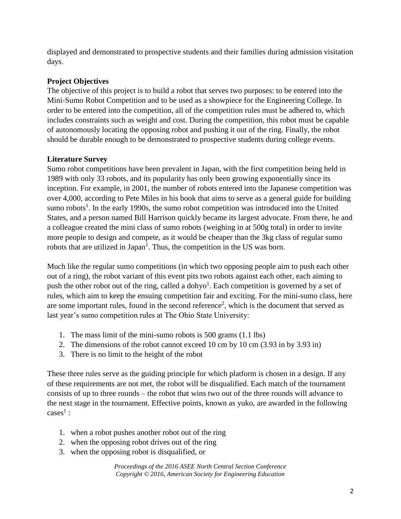displayed and demonstrated to prospective students and their families during admission visitation days.

# **Project Objectives**

The objective of this project is to build a robot that serves two purposes: to be entered into the Mini-Sumo Robot Competition and to be used as a showpiece for the Engineering College. In order to be entered into the competition, all of the competition rules must be adhered to, which includes constraints such as weight and cost. During the competition, this robot must be capable of autonomously locating the opposing robot and pushing it out of the ring. Finally, the robot should be durable enough to be demonstrated to prospective students during college events.

# **Literature Survey**

Sumo robot competitions have been prevalent in Japan, with the first competition being held in 1989 with only 33 robots, and its popularity has only been growing exponentially since its inception. For example, in 2001, the number of robots entered into the Japanese competition was over 4,000, according to Pete Miles in his book that aims to serve as a general guide for building sumo robots<sup>1</sup>. In the early 1990s, the sumo robot competition was introduced into the United States, and a person named Bill Harrison quickly became its largest advocate. From there, he and a colleague created the mini class of sumo robots (weighing in at 500g total) in order to invite more people to design and compete, as it would be cheaper than the 3kg class of regular sumo robots that are utilized in Japan<sup>1</sup>. Thus, the competition in the US was born.

Much like the regular sumo competitions (in which two opposing people aim to push each other out of a ring), the robot variant of this event pits two robots against each other, each aiming to push the other robot out of the ring, called a dohyo<sup>1</sup>. Each competition is governed by a set of rules, which aim to keep the ensuing competition fair and exciting. For the mini-sumo class, here are some important rules, found in the second reference<sup>2</sup>, which is the document that served as last year's sumo competition rules at The Ohio State University:

- 1. The mass limit of the mini-sumo robots is 500 grams (1.1 lbs)
- 2. The dimensions of the robot cannot exceed 10 cm by 10 cm (3.93 in by 3.93 in)
- 3. There is no limit to the height of the robot

These three rules serve as the guiding principle for which platform is chosen in a design. If any of these requirements are not met, the robot will be disqualified. Each match of the tournament consists of up to three rounds – the robot that wins two out of the three rounds will advance to the next stage in the tournament. Effective points, known as yuko, are awarded in the following  $\cases^1$  :

- 1. when a robot pushes another robot out of the ring
- 2. when the opposing robot drives out of the ring
- 3. when the opposing robot is disqualified, or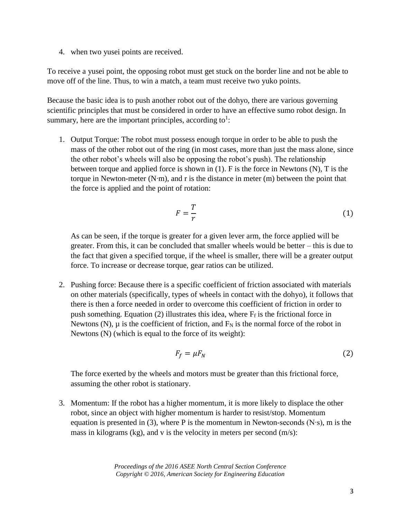4. when two yusei points are received.

To receive a yusei point, the opposing robot must get stuck on the border line and not be able to move off of the line. Thus, to win a match, a team must receive two yuko points.

Because the basic idea is to push another robot out of the dohyo, there are various governing scientific principles that must be considered in order to have an effective sumo robot design. In summary, here are the important principles, according to<sup>1</sup>:

1. Output Torque: The robot must possess enough torque in order to be able to push the mass of the other robot out of the ring (in most cases, more than just the mass alone, since the other robot's wheels will also be opposing the robot's push). The relationship between torque and applied force is shown in (1). F is the force in Newtons (N), T is the torque in Newton-meter (N∙m), and r is the distance in meter (m) between the point that the force is applied and the point of rotation:

$$
F = \frac{T}{r} \tag{1}
$$

As can be seen, if the torque is greater for a given lever arm, the force applied will be greater. From this, it can be concluded that smaller wheels would be better – this is due to the fact that given a specified torque, if the wheel is smaller, there will be a greater output force. To increase or decrease torque, gear ratios can be utilized.

2. Pushing force: Because there is a specific coefficient of friction associated with materials on other materials (specifically, types of wheels in contact with the dohyo), it follows that there is then a force needed in order to overcome this coefficient of friction in order to push something. Equation (2) illustrates this idea, where  $F_f$  is the frictional force in Newtons (N),  $\mu$  is the coefficient of friction, and  $F_N$  is the normal force of the robot in Newtons (N) (which is equal to the force of its weight):

$$
F_f = \mu F_N \tag{2}
$$

The force exerted by the wheels and motors must be greater than this frictional force, assuming the other robot is stationary.

3. Momentum: If the robot has a higher momentum, it is more likely to displace the other robot, since an object with higher momentum is harder to resist/stop. Momentum equation is presented in (3), where P is the momentum in Newton-seconds (N⋅s), m is the mass in kilograms (kg), and v is the velocity in meters per second (m/s):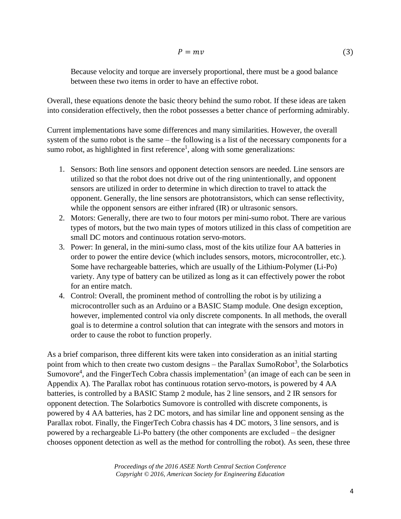Because velocity and torque are inversely proportional, there must be a good balance between these two items in order to have an effective robot.

Overall, these equations denote the basic theory behind the sumo robot. If these ideas are taken into consideration effectively, then the robot possesses a better chance of performing admirably.

Current implementations have some differences and many similarities. However, the overall system of the sumo robot is the same – the following is a list of the necessary components for a sumo robot, as highlighted in first reference<sup>1</sup>, along with some generalizations:

- 1. Sensors: Both line sensors and opponent detection sensors are needed. Line sensors are utilized so that the robot does not drive out of the ring unintentionally, and opponent sensors are utilized in order to determine in which direction to travel to attack the opponent. Generally, the line sensors are phototransistors, which can sense reflectivity, while the opponent sensors are either infrared (IR) or ultrasonic sensors.
- 2. Motors: Generally, there are two to four motors per mini-sumo robot. There are various types of motors, but the two main types of motors utilized in this class of competition are small DC motors and continuous rotation servo-motors.
- 3. Power: In general, in the mini-sumo class, most of the kits utilize four AA batteries in order to power the entire device (which includes sensors, motors, microcontroller, etc.). Some have rechargeable batteries, which are usually of the Lithium-Polymer (Li-Po) variety. Any type of battery can be utilized as long as it can effectively power the robot for an entire match.
- 4. Control: Overall, the prominent method of controlling the robot is by utilizing a microcontroller such as an Arduino or a BASIC Stamp module. One design exception, however, implemented control via only discrete components. In all methods, the overall goal is to determine a control solution that can integrate with the sensors and motors in order to cause the robot to function properly.

As a brief comparison, three different kits were taken into consideration as an initial starting point from which to then create two custom designs – the Parallax SumoRobot<sup>3</sup>, the Solarbotics Sumovore<sup>4</sup>, and the FingerTech Cobra chassis implementation<sup>5</sup> (an image of each can be seen in Appendix A). The Parallax robot has continuous rotation servo-motors, is powered by 4 AA batteries, is controlled by a BASIC Stamp 2 module, has 2 line sensors, and 2 IR sensors for opponent detection. The Solarbotics Sumovore is controlled with discrete components, is powered by 4 AA batteries, has 2 DC motors, and has similar line and opponent sensing as the Parallax robot. Finally, the FingerTech Cobra chassis has 4 DC motors, 3 line sensors, and is powered by a rechargeable Li-Po battery (the other components are excluded – the designer chooses opponent detection as well as the method for controlling the robot). As seen, these three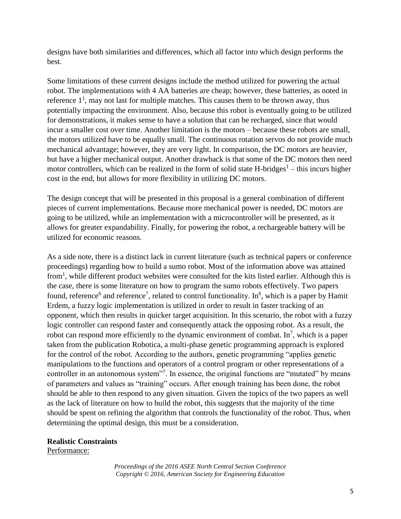designs have both similarities and differences, which all factor into which design performs the best.

Some limitations of these current designs include the method utilized for powering the actual robot. The implementations with 4 AA batteries are cheap; however, these batteries, as noted in reference  $1<sup>1</sup>$ , may not last for multiple matches. This causes them to be thrown away, thus potentially impacting the environment. Also, because this robot is eventually going to be utilized for demonstrations, it makes sense to have a solution that can be recharged, since that would incur a smaller cost over time. Another limitation is the motors – because these robots are small, the motors utilized have to be equally small. The continuous rotation servos do not provide much mechanical advantage; however, they are very light. In comparison, the DC motors are heavier, but have a higher mechanical output. Another drawback is that some of the DC motors then need motor controllers, which can be realized in the form of solid state  $H$ -bridges<sup>1</sup> – this incurs higher cost in the end, but allows for more flexibility in utilizing DC motors.

The design concept that will be presented in this proposal is a general combination of different pieces of current implementations. Because more mechanical power is needed, DC motors are going to be utilized, while an implementation with a microcontroller will be presented, as it allows for greater expandability. Finally, for powering the robot, a rechargeable battery will be utilized for economic reasons.

As a side note, there is a distinct lack in current literature (such as technical papers or conference proceedings) regarding how to build a sumo robot. Most of the information above was attained from<sup>1</sup>, while different product websites were consulted for the kits listed earlier. Although this is the case, there is some literature on how to program the sumo robots effectively. Two papers found, reference<sup>6</sup> and reference<sup>7</sup>, related to control functionality. In<sup>6</sup>, which is a paper by Hamit Erdem, a fuzzy logic implementation is utilized in order to result in faster tracking of an opponent, which then results in quicker target acquisition. In this scenario, the robot with a fuzzy logic controller can respond faster and consequently attack the opposing robot. As a result, the robot can respond more efficiently to the dynamic environment of combat. In<sup>7</sup>, which is a paper taken from the publication Robotica, a multi-phase genetic programming approach is explored for the control of the robot. According to the authors, genetic programming "applies genetic manipulations to the functions and operators of a control program or other representations of a controller in an autonomous system<sup>17</sup>. In essence, the original functions are "mutated" by means of parameters and values as "training" occurs. After enough training has been done, the robot should be able to then respond to any given situation. Given the topics of the two papers as well as the lack of literature on how to build the robot, this suggests that the majority of the time should be spent on refining the algorithm that controls the functionality of the robot. Thus, when determining the optimal design, this must be a consideration.

### **Realistic Constraints**

Performance: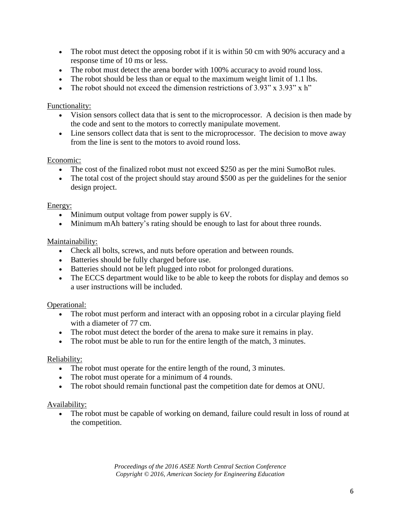- The robot must detect the opposing robot if it is within 50 cm with 90% accuracy and a response time of 10 ms or less.
- The robot must detect the arena border with 100% accuracy to avoid round loss.
- The robot should be less than or equal to the maximum weight limit of 1.1 lbs.
- The robot should not exceed the dimension restrictions of  $3.93'' \times 3.93'' \times h''$

## Functionality:

- Vision sensors collect data that is sent to the microprocessor. A decision is then made by the code and sent to the motors to correctly manipulate movement.
- Line sensors collect data that is sent to the microprocessor. The decision to move away from the line is sent to the motors to avoid round loss.

## Economic:

- The cost of the finalized robot must not exceed \$250 as per the mini SumoBot rules.
- The total cost of the project should stay around \$500 as per the guidelines for the senior design project.

## Energy:

- Minimum output voltage from power supply is 6V.
- Minimum mAh battery's rating should be enough to last for about three rounds.

## Maintainability:

- Check all bolts, screws, and nuts before operation and between rounds.
- Batteries should be fully charged before use.
- Batteries should not be left plugged into robot for prolonged durations.
- The ECCS department would like to be able to keep the robots for display and demos so a user instructions will be included.

# Operational:

- The robot must perform and interact with an opposing robot in a circular playing field with a diameter of 77 cm.
- The robot must detect the border of the arena to make sure it remains in play.
- The robot must be able to run for the entire length of the match, 3 minutes.

## Reliability:

- The robot must operate for the entire length of the round, 3 minutes.
- The robot must operate for a minimum of 4 rounds.
- The robot should remain functional past the competition date for demos at ONU.

## Availability:

• The robot must be capable of working on demand, failure could result in loss of round at the competition.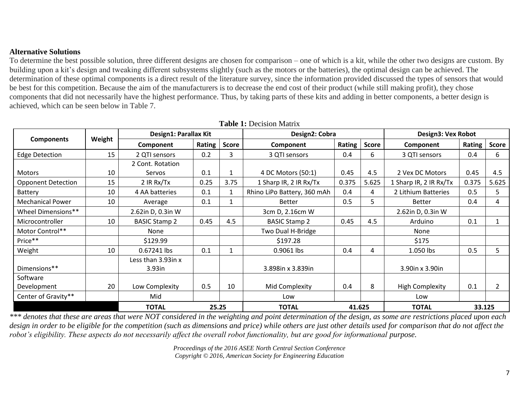## **Alternative Solutions**

To determine the best possible solution, three different designs are chosen for comparison – one of which is a kit, while the other two designs are custom. By building upon a kit's design and tweaking different subsystems slightly (such as the motors or the batteries), the optimal design can be achieved. The determination of these optimal components is a direct result of the literature survey, since the information provided discussed the types of sensors that would be best for this competition. Because the aim of the manufacturers is to decrease the end cost of their product (while still making profit), they chose components that did not necessarily have the highest performance. Thus, by taking parts of these kits and adding in better components, a better design is achieved, which can be seen below in Table 7.

**Table 1:** Decision Matrix

|                           |        | тамк треспятный       |        |              |                                          |        |                        |                        |        |              |
|---------------------------|--------|-----------------------|--------|--------------|------------------------------------------|--------|------------------------|------------------------|--------|--------------|
| <b>Components</b>         | Weight | Design1: Parallax Kit |        |              | Design2: Cobra                           |        |                        | Design3: Vex Robot     |        |              |
|                           |        | Component             | Rating | <b>Score</b> | Component                                | Rating | <b>Score</b>           | Component              | Rating | <b>Score</b> |
| <b>Edge Detection</b>     | 15     | 2 QTI sensors         | 0.2    | 3            | 3 QTI sensors                            | 0.4    | 6                      | 3 QTI sensors          | 0.4    | 6            |
|                           |        | 2 Cont. Rotation      |        |              |                                          |        |                        |                        |        |              |
| <b>Motors</b>             | 10     | Servos                | 0.1    |              | 4 DC Motors (50:1)                       | 0.45   | 4.5                    | 2 Vex DC Motors        | 0.45   | 4.5          |
| <b>Opponent Detection</b> | 15     | 2 IR Rx/Tx            | 0.25   | 3.75         | 0.375<br>5.625<br>1 Sharp IR, 2 IR Rx/Tx |        | 1 Sharp IR, 2 IR Rx/Tx | 0.375                  | 5.625  |              |
| Battery                   | 10     | 4 AA batteries        | 0.1    |              | Rhino LiPo Battery, 360 mAh<br>0.4<br>4  |        |                        | 2 Lithium Batteries    | 0.5    | 5            |
| <b>Mechanical Power</b>   | 10     | Average               | 0.1    |              | 0.5<br>5<br><b>Better</b>                |        |                        | <b>Better</b>          | 0.4    | 4            |
| Wheel Dimensions**        |        | 2.62in D, 0.3in W     |        |              | 3cm D, 2.16cm W                          |        |                        | 2.62in D, 0.3in W      |        |              |
| Microcontroller           | 10     | <b>BASIC Stamp 2</b>  | 0.45   | 4.5          | 0.45<br><b>BASIC Stamp 2</b>             |        | 4.5                    | Arduino                | 0.1    |              |
| Motor Control**           |        | <b>None</b>           |        |              | Two Dual H-Bridge                        |        |                        | None                   |        |              |
| Price**                   |        | \$129.99              |        |              | \$197.28                                 |        |                        | \$175                  |        |              |
| Weight                    | 10     | 0.67241 lbs           | 0.1    |              | 0.9061 lbs                               | 0.4    | 4                      | 1.050 lbs              | 0.5    | 5.           |
|                           |        | Less than 3.93in x    |        |              |                                          |        |                        |                        |        |              |
| Dimensions**              |        | $3.93$ in             |        |              | 3.898in x 3.839in                        |        |                        | 3.90in x 3.90in        |        |              |
| Software                  |        |                       |        |              |                                          |        |                        |                        |        |              |
| Development               | 20     | Low Complexity        | 0.5    | 10           | Mid Complexity                           | 0.4    | 8                      | <b>High Complexity</b> | 0.1    |              |
| Center of Gravity**       |        | Mid                   |        |              | Low                                      |        |                        | Low                    |        |              |
|                           |        | <b>TOTAL</b>          | 25.25  |              | <b>TOTAL</b>                             | 41.625 |                        | <b>TOTAL</b>           | 33.125 |              |

*\*\*\* denotes that these are areas that were NOT considered in the weighting and point determination of the design, as some are restrictions placed upon each*  design in order to be eligible for the competition (such as dimensions and price) while others are just other details used for comparison that do not affect the *robot's eligibility. These aspects do not necessarily affect the overall robot functionality, but are good for informational purpose.*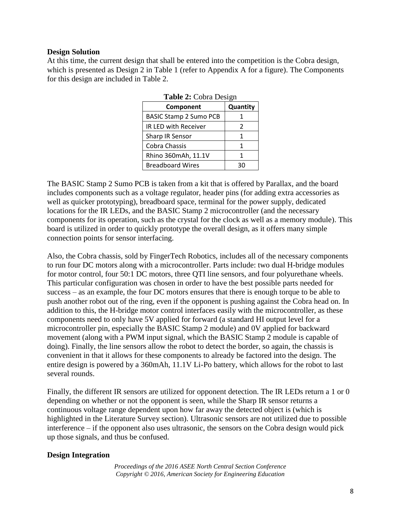#### **Design Solution**

At this time, the current design that shall be entered into the competition is the Cobra design, which is presented as Design 2 in Table 1 (refer to Appendix A for a figure). The Components for this design are included in Table 2.

| <b>Table 4:</b> Cobra Design  |          |  |  |  |
|-------------------------------|----------|--|--|--|
| Component                     | Quantity |  |  |  |
| <b>BASIC Stamp 2 Sumo PCB</b> |          |  |  |  |
| IR LED with Receiver          | 2        |  |  |  |
| Sharp IR Sensor               | 1        |  |  |  |
| Cobra Chassis                 | 1        |  |  |  |
| Rhino 360mAh, 11.1V           | 1        |  |  |  |
| <b>Breadboard Wires</b>       | 30       |  |  |  |

**Table 2:** Cobra Design

The BASIC Stamp 2 Sumo PCB is taken from a kit that is offered by Parallax, and the board includes components such as a voltage regulator, header pins (for adding extra accessories as well as quicker prototyping), breadboard space, terminal for the power supply, dedicated locations for the IR LEDs, and the BASIC Stamp 2 microcontroller (and the necessary components for its operation, such as the crystal for the clock as well as a memory module). This board is utilized in order to quickly prototype the overall design, as it offers many simple connection points for sensor interfacing.

Also, the Cobra chassis, sold by FingerTech Robotics, includes all of the necessary components to run four DC motors along with a microcontroller. Parts include: two dual H-bridge modules for motor control, four 50:1 DC motors, three QTI line sensors, and four polyurethane wheels. This particular configuration was chosen in order to have the best possible parts needed for success – as an example, the four DC motors ensures that there is enough torque to be able to push another robot out of the ring, even if the opponent is pushing against the Cobra head on. In addition to this, the H-bridge motor control interfaces easily with the microcontroller, as these components need to only have 5V applied for forward (a standard HI output level for a microcontroller pin, especially the BASIC Stamp 2 module) and 0V applied for backward movement (along with a PWM input signal, which the BASIC Stamp 2 module is capable of doing). Finally, the line sensors allow the robot to detect the border, so again, the chassis is convenient in that it allows for these components to already be factored into the design. The entire design is powered by a 360mAh, 11.1V Li-Po battery, which allows for the robot to last several rounds.

Finally, the different IR sensors are utilized for opponent detection. The IR LEDs return a 1 or 0 depending on whether or not the opponent is seen, while the Sharp IR sensor returns a continuous voltage range dependent upon how far away the detected object is (which is highlighted in the Literature Survey section). Ultrasonic sensors are not utilized due to possible interference – if the opponent also uses ultrasonic, the sensors on the Cobra design would pick up those signals, and thus be confused.

### **Design Integration**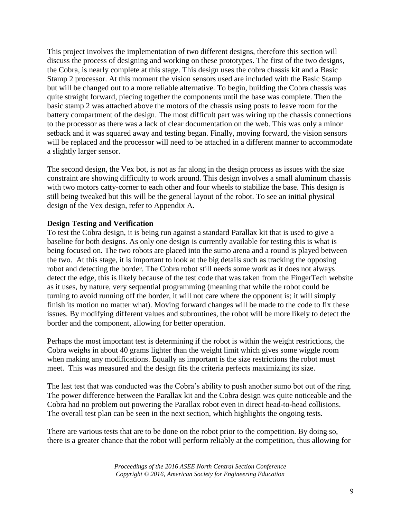This project involves the implementation of two different designs, therefore this section will discuss the process of designing and working on these prototypes. The first of the two designs, the Cobra, is nearly complete at this stage. This design uses the cobra chassis kit and a Basic Stamp 2 processor. At this moment the vision sensors used are included with the Basic Stamp but will be changed out to a more reliable alternative. To begin, building the Cobra chassis was quite straight forward, piecing together the components until the base was complete. Then the basic stamp 2 was attached above the motors of the chassis using posts to leave room for the battery compartment of the design. The most difficult part was wiring up the chassis connections to the processor as there was a lack of clear documentation on the web. This was only a minor setback and it was squared away and testing began. Finally, moving forward, the vision sensors will be replaced and the processor will need to be attached in a different manner to accommodate a slightly larger sensor.

The second design, the Vex bot, is not as far along in the design process as issues with the size constraint are showing difficulty to work around. This design involves a small aluminum chassis with two motors catty-corner to each other and four wheels to stabilize the base. This design is still being tweaked but this will be the general layout of the robot. To see an initial physical design of the Vex design, refer to Appendix A.

### **Design Testing and Verification**

To test the Cobra design, it is being run against a standard Parallax kit that is used to give a baseline for both designs. As only one design is currently available for testing this is what is being focused on. The two robots are placed into the sumo arena and a round is played between the two. At this stage, it is important to look at the big details such as tracking the opposing robot and detecting the border. The Cobra robot still needs some work as it does not always detect the edge, this is likely because of the test code that was taken from the FingerTech website as it uses, by nature, very sequential programming (meaning that while the robot could be turning to avoid running off the border, it will not care where the opponent is; it will simply finish its motion no matter what). Moving forward changes will be made to the code to fix these issues. By modifying different values and subroutines, the robot will be more likely to detect the border and the component, allowing for better operation.

Perhaps the most important test is determining if the robot is within the weight restrictions, the Cobra weighs in about 40 grams lighter than the weight limit which gives some wiggle room when making any modifications. Equally as important is the size restrictions the robot must meet. This was measured and the design fits the criteria perfects maximizing its size.

The last test that was conducted was the Cobra's ability to push another sumo bot out of the ring. The power difference between the Parallax kit and the Cobra design was quite noticeable and the Cobra had no problem out powering the Parallax robot even in direct head-to-head collisions. The overall test plan can be seen in the next section, which highlights the ongoing tests.

There are various tests that are to be done on the robot prior to the competition. By doing so, there is a greater chance that the robot will perform reliably at the competition, thus allowing for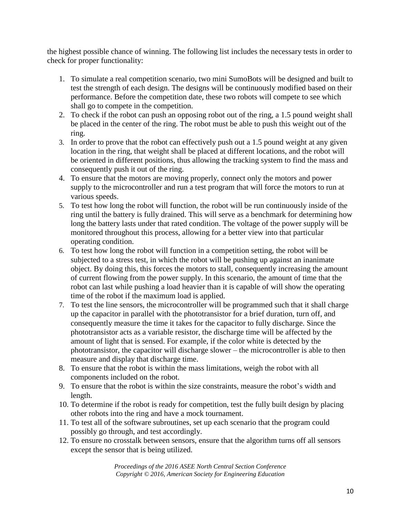the highest possible chance of winning. The following list includes the necessary tests in order to check for proper functionality:

- 1. To simulate a real competition scenario, two mini SumoBots will be designed and built to test the strength of each design. The designs will be continuously modified based on their performance. Before the competition date, these two robots will compete to see which shall go to compete in the competition.
- 2. To check if the robot can push an opposing robot out of the ring, a 1.5 pound weight shall be placed in the center of the ring. The robot must be able to push this weight out of the ring.
- 3. In order to prove that the robot can effectively push out a 1.5 pound weight at any given location in the ring, that weight shall be placed at different locations, and the robot will be oriented in different positions, thus allowing the tracking system to find the mass and consequently push it out of the ring.
- 4. To ensure that the motors are moving properly, connect only the motors and power supply to the microcontroller and run a test program that will force the motors to run at various speeds.
- 5. To test how long the robot will function, the robot will be run continuously inside of the ring until the battery is fully drained. This will serve as a benchmark for determining how long the battery lasts under that rated condition. The voltage of the power supply will be monitored throughout this process, allowing for a better view into that particular operating condition.
- 6. To test how long the robot will function in a competition setting, the robot will be subjected to a stress test, in which the robot will be pushing up against an inanimate object. By doing this, this forces the motors to stall, consequently increasing the amount of current flowing from the power supply. In this scenario, the amount of time that the robot can last while pushing a load heavier than it is capable of will show the operating time of the robot if the maximum load is applied.
- 7. To test the line sensors, the microcontroller will be programmed such that it shall charge up the capacitor in parallel with the phototransistor for a brief duration, turn off, and consequently measure the time it takes for the capacitor to fully discharge. Since the phototransistor acts as a variable resistor, the discharge time will be affected by the amount of light that is sensed. For example, if the color white is detected by the phototransistor, the capacitor will discharge slower – the microcontroller is able to then measure and display that discharge time.
- 8. To ensure that the robot is within the mass limitations, weigh the robot with all components included on the robot.
- 9. To ensure that the robot is within the size constraints, measure the robot's width and length.
- 10. To determine if the robot is ready for competition, test the fully built design by placing other robots into the ring and have a mock tournament.
- 11. To test all of the software subroutines, set up each scenario that the program could possibly go through, and test accordingly.
- 12. To ensure no crosstalk between sensors, ensure that the algorithm turns off all sensors except the sensor that is being utilized.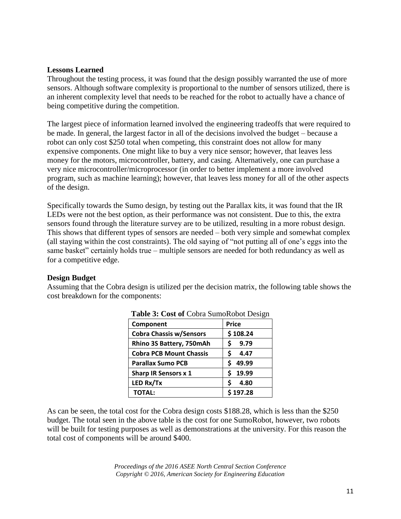### **Lessons Learned**

Throughout the testing process, it was found that the design possibly warranted the use of more sensors. Although software complexity is proportional to the number of sensors utilized, there is an inherent complexity level that needs to be reached for the robot to actually have a chance of being competitive during the competition.

The largest piece of information learned involved the engineering tradeoffs that were required to be made. In general, the largest factor in all of the decisions involved the budget – because a robot can only cost \$250 total when competing, this constraint does not allow for many expensive components. One might like to buy a very nice sensor; however, that leaves less money for the motors, microcontroller, battery, and casing. Alternatively, one can purchase a very nice microcontroller/microprocessor (in order to better implement a more involved program, such as machine learning); however, that leaves less money for all of the other aspects of the design.

Specifically towards the Sumo design, by testing out the Parallax kits, it was found that the IR LEDs were not the best option, as their performance was not consistent. Due to this, the extra sensors found through the literature survey are to be utilized, resulting in a more robust design. This shows that different types of sensors are needed – both very simple and somewhat complex (all staying within the cost constraints). The old saying of "not putting all of one's eggs into the same basket" certainly holds true – multiple sensors are needed for both redundancy as well as for a competitive edge.

### **Design Budget**

Assuming that the Cobra design is utilized per the decision matrix, the following table shows the cost breakdown for the components:

| Component                      | <b>Price</b> |
|--------------------------------|--------------|
| <b>Cobra Chassis w/Sensors</b> | \$108.24     |
| Rhino 3S Battery, 750mAh       | 9.79<br>S    |
| <b>Cobra PCB Mount Chassis</b> | Ś<br>4.47    |
| <b>Parallax Sumo PCB</b>       | 49.99        |
| <b>Sharp IR Sensors x 1</b>    | 19.99        |
| LED Rx/Tx                      | Ś<br>4.80    |
| <b>TOTAL:</b>                  | \$197.28     |

|  |  |  | Table 3: Cost of Cobra SumoRobot Design |  |
|--|--|--|-----------------------------------------|--|
|--|--|--|-----------------------------------------|--|

As can be seen, the total cost for the Cobra design costs \$188.28, which is less than the \$250 budget. The total seen in the above table is the cost for one SumoRobot, however, two robots will be built for testing purposes as well as demonstrations at the university. For this reason the total cost of components will be around \$400.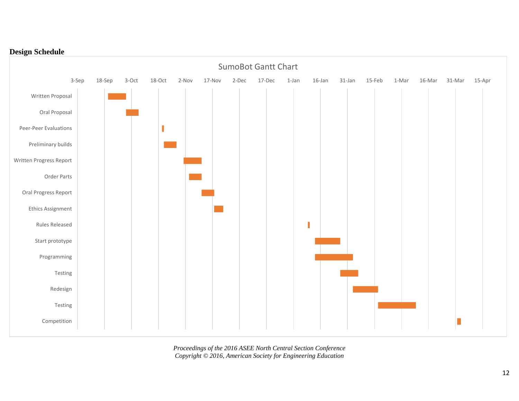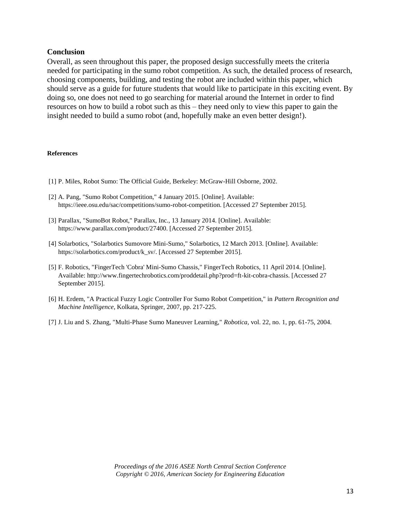#### **Conclusion**

Overall, as seen throughout this paper, the proposed design successfully meets the criteria needed for participating in the sumo robot competition. As such, the detailed process of research, choosing components, building, and testing the robot are included within this paper, which should serve as a guide for future students that would like to participate in this exciting event. By doing so, one does not need to go searching for material around the Internet in order to find resources on how to build a robot such as this – they need only to view this paper to gain the insight needed to build a sumo robot (and, hopefully make an even better design!).

#### **References**

- [1] P. Miles, Robot Sumo: The Official Guide, Berkeley: McGraw-Hill Osborne, 2002.
- [2] A. Pang, "Sumo Robot Competition," 4 January 2015. [Online]. Available: https://ieee.osu.edu/sac/competitions/sumo-robot-competition. [Accessed 27 September 2015].
- [3] Parallax, "SumoBot Robot," Parallax, Inc., 13 January 2014. [Online]. Available: https://www.parallax.com/product/27400. [Accessed 27 September 2015].
- [4] Solarbotics, "Solarbotics Sumovore Mini-Sumo," Solarbotics, 12 March 2013. [Online]. Available: https://solarbotics.com/product/k\_sv/. [Accessed 27 September 2015].
- [5] F. Robotics, "FingerTech 'Cobra' Mini-Sumo Chassis," FingerTech Robotics, 11 April 2014. [Online]. Available: http://www.fingertechrobotics.com/proddetail.php?prod=ft-kit-cobra-chassis. [Accessed 27 September 2015].
- [6] H. Erdem, "A Practical Fuzzy Logic Controller For Sumo Robot Competition," in *Pattern Recognition and Machine Intelligence*, Kolkata, Springer, 2007, pp. 217-225.
- [7] J. Liu and S. Zhang, "Multi-Phase Sumo Maneuver Learning," *Robotica,* vol. 22, no. 1, pp. 61-75, 2004.